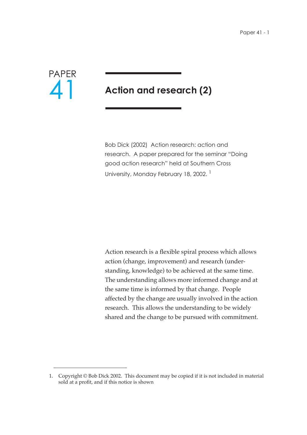

# **Action and research (2)**

Bob Dick (2002) Action research: action and research. A paper prepared for the seminar "Doing good action research" held at Southern Cross University, Monday February 18, 2002.<sup>1</sup>

Action research is a flexible spiral process which allows action (change, improvement) and research (understanding, knowledge) to be achieved at the same time. The understanding allows more informed change and at the same time is informed by that change. People affected by the change are usually involved in the action research. This allows the understanding to be widely shared and the change to be pursued with commitment.

<sup>1.</sup> Copyright © Bob Dick 2002. This document may be copied if it is not included in material sold at a profit, and if this notice is shown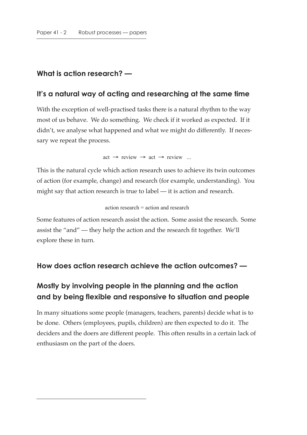#### **What is action research? —**

#### **It's a natural way of acting and researching at the same time**

With the exception of well-practised tasks there is a natural rhythm to the way most of us behave. We do something. We check if it worked as expected. If it didn't, we analyse what happened and what we might do differently. If necessary we repeat the process.

 $\text{act} \rightarrow \text{review} \rightarrow \text{act} \rightarrow \text{review} \dots$ 

This is the natural cycle which action research uses to achieve its twin outcomes of action (for example, change) and research (for example, understanding). You might say that action research is true to label — it is action and research.

action research = action and research

Some features of action research assist the action. Some assist the research. Some assist the "and" — they help the action and the research fit together. We'll explore these in turn.

#### **How does action research achieve the action outcomes? —**

# **Mostly by involving people in the planning and the action and by being flexible and responsive to situation and people**

In many situations some people (managers, teachers, parents) decide what is to be done. Others (employees, pupils, children) are then expected to do it. The deciders and the doers are different people. This often results in a certain lack of enthusiasm on the part of the doers.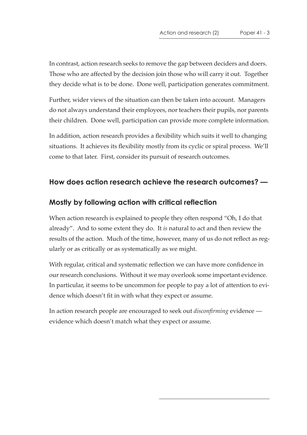In contrast, action research seeks to remove the gap between deciders and doers. Those who are affected by the decision join those who will carry it out. Together they decide what is to be done. Done well, participation generates commitment.

Further, wider views of the situation can then be taken into account. Managers do not always understand their employees, nor teachers their pupils, nor parents their children. Done well, participation can provide more complete information.

In addition, action research provides a flexibility which suits it well to changing situations. It achieves its flexibility mostly from its cyclic or spiral process. We'll come to that later. First, consider its pursuit of research outcomes.

# **How does action research achieve the research outcomes? —**

# **Mostly by following action with critical reflection**

When action research is explained to people they often respond "Oh, I do that already". And to some extent they do. It *is* natural to act and then review the results of the action. Much of the time, however, many of us do not reflect as regularly or as critically or as systematically as we might.

With regular, critical and systematic reflection we can have more confidence in our research conclusions. Without it we may overlook some important evidence. In particular, it seems to be uncommon for people to pay a lot of attention to evidence which doesn't fit in with what they expect or assume.

In action research people are encouraged to seek out *disconfirming* evidence evidence which doesn't match what they expect or assume.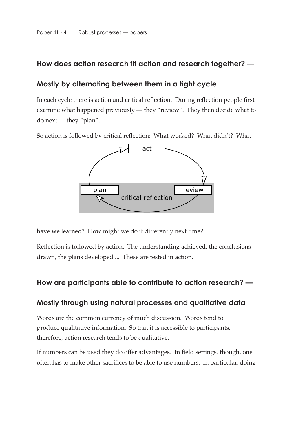## **How does action research fit action and research together? —**

### **Mostly by alternating between them in a tight cycle**

In each cycle there is action and critical reflection. During reflection people first examine what happened previously — they "review". They then decide what to do next — they "plan".

So action is followed by critical reflection: What worked? What didn't? What



have we learned? How might we do it differently next time?

Reflection is followed by action. The understanding achieved, the conclusions drawn, the plans developed ... These are tested in action.

### **How are participants able to contribute to action research? —**

#### **Mostly through using natural processes and qualitative data**

Words are the common currency of much discussion. Words tend to produce qualitative information. So that it is accessible to participants, therefore, action research tends to be qualitative.

If numbers can be used they do offer advantages. In field settings, though, one often has to make other sacrifices to be able to use numbers. In particular, doing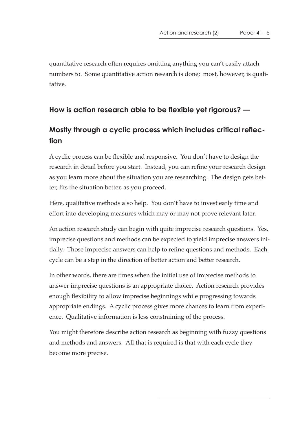quantitative research often requires omitting anything you can't easily attach numbers to. Some quantitative action research is done; most, however, is qualitative.

# **How is action research able to be flexible yet rigorous? —**

# **Mostly through a cyclic process which includes critical reflection**

A cyclic process can be flexible and responsive. You don't have to design the research in detail before you start. Instead, you can refine your research design as you learn more about the situation you are researching. The design gets better, fits the situation better, as you proceed.

Here, qualitative methods also help. You don't have to invest early time and effort into developing measures which may or may not prove relevant later.

An action research study can begin with quite imprecise research questions. Yes, imprecise questions and methods can be expected to yield imprecise answers initially. Those imprecise answers can help to refine questions and methods. Each cycle can be a step in the direction of better action and better research.

In other words, there are times when the initial use of imprecise methods to answer imprecise questions is an appropriate choice. Action research provides enough flexibility to allow imprecise beginnings while progressing towards appropriate endings. A cyclic process gives more chances to learn from experience. Qualitative information is less constraining of the process.

You might therefore describe action research as beginning with fuzzy questions and methods and answers. All that is required is that with each cycle they become more precise.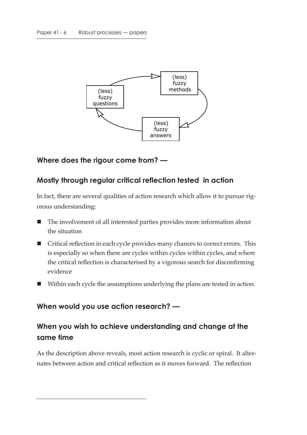

### **Where does the rigour come from? —**

#### **Mostly through regular critical reflection tested in action**

In fact, there are several qualities of action research which allow it to pursue rigorous understanding:

- The involvement of all interested parties provides more information about the situation
- Critical reflection in each cycle provides many chances to correct errors. This is especially so when there are cycles within cycles within cycles, and where the critical reflection is characterised by a vigorous search for disconfirming evidence
- Within each cycle the assumptions underlying the plans are tested in action.

#### **When would you use action research? —**

# **When you wish to achieve understanding and change at the same time**

As the description above reveals, most action research is cyclic or spiral. It alternates between action and critical reflection as it moves forward. The reflection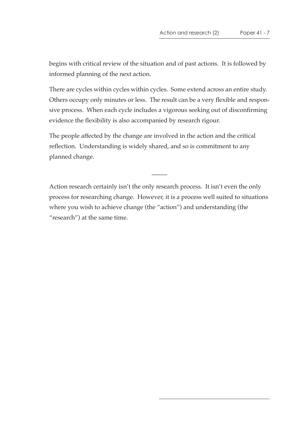begins with critical review of the situation and of past actions. It is followed by informed planning of the next action.

There are cycles within cycles within cycles. Some extend across an entire study. Others occupy only minutes or less. The result can be a very flexible and responsive process. When each cycle includes a vigorous seeking out of disconfirming evidence the flexibility is also accompanied by research rigour.

The people affected by the change are involved in the action and the critical reflection. Understanding is widely shared, and so is commitment to any planned change.

Action research certainly isn't the only research process. It isn't even the only process for researching change. However, it is a process well suited to situations where you wish to achieve change (the "action") and understanding (the "research") at the same time.

 $\overline{\phantom{a}}$